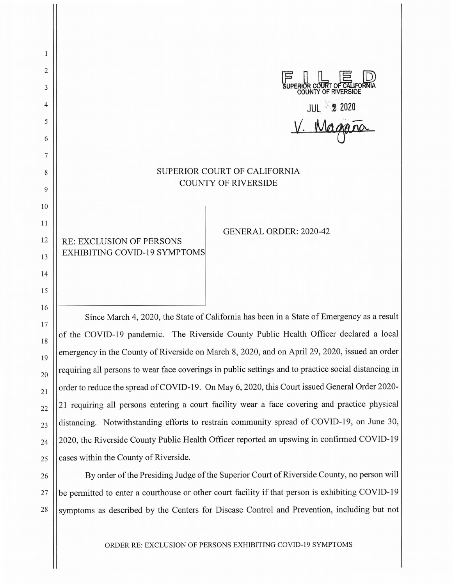$\mathbf{1}$ 2  $\begin{bmatrix} \begin{matrix} \blacksquare & \blacksquare & \blacksquare \end{matrix} & \bigsqcup & \blacksquare & \blacksquare \end{bmatrix}$ <br> **SUPERIOR COURT OF CALIFORNIA**<br>
COUNTY OF RIVERSIDE 3 **COUNTY OF RIVERSIDE**  4 JUL **~,:2** 2020 5 *V.* V:!W *rJ-00-* 6 7 SUPERIOR COURT OF CALIFORNIA 8 COUNTY OF RIVERSIDE 9 10 11 GENERAL ORDER: 2020-42 12 RE: EXCLUSION OF PERSONS EXHIBITING COVID-19 SYMPTOMS 13 14 15 16 Since March 4, 2020, the State of California has been in a State of Emergency as a result 17 18

of the COVID-19 pandemic. The Riverside County Public Health Officer declared a local emergency in the County of Riverside on March 8, 2020, and on April 29, 2020, issued an order requiring all persons to wear face coverings in public settings and to practice social distancing in order to reduce the spread of COVID-19. On May 6, 2020, this Court issued General Order 2020- 21 requiring all persons entering a court facility wear a face covering and practice physical distancing. Notwithstanding efforts to restrain community spread of COVID-19, on June 30, 2020, the Riverside County Public Health Officer reported an upswing in confirmed COVID-19 cases within the County of Riverside.

19

20

21

22

23

24

25

26 27 28 By order of the Presiding Judge of the Superior Court of Riverside County, no person will be permitted to enter a courthouse or other court facility if that person is exhibiting COVID-19 symptoms as described by the Centers for Disease Control and Prevention, including but not

ORDER RE: EXCLUSION OF PERSONS EXHIBITING COVID-19 SYMPTOMS